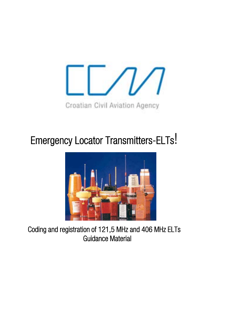

# Emergency Locator Transmitters-ELTs!



Coding and registration of 121,5 MHz and 406 MHz ELTs Guidance Material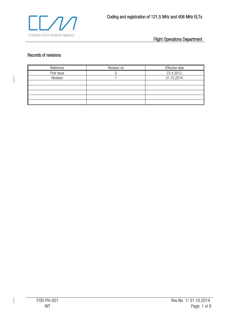

# Records of revisions

| Reference   | Revision no | Effective date |
|-------------|-------------|----------------|
| First issue |             | 23.4.2012.     |
| Revision    |             | 31.10.2014.    |
|             |             |                |
|             |             |                |
|             |             |                |
|             |             |                |
|             |             |                |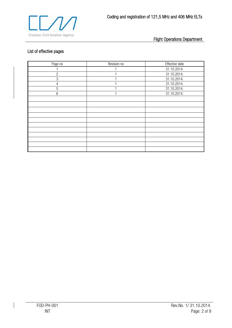

# List of effective pages

| Page no         | Revision no | Effective date |
|-----------------|-------------|----------------|
|                 |             | 31.10.2014.    |
| $\mathbf{2}$    |             | 31.10.2014.    |
| 3               |             | 31.10.2014.    |
| $\overline{4}$  |             | 31.10.2014.    |
| 5               |             | 31.10.2014.    |
| $6\phantom{1}6$ |             | 31.10.2014.    |
|                 |             |                |
|                 |             |                |
|                 |             |                |
|                 |             |                |
|                 |             |                |
|                 |             |                |
|                 |             |                |
|                 |             |                |
|                 |             |                |
|                 |             |                |
|                 |             |                |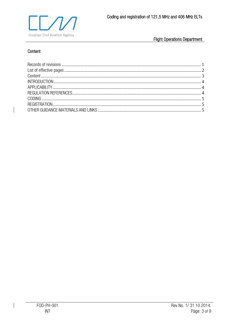

# Content

 $\overline{\phantom{a}}$ 

 $\overline{\phantom{a}}$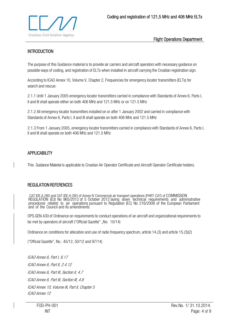

## **INTRODUCTION**

The purpose of this Guidance material is to provide air carriers and aircraft operators with necessary guidance on possible ways of coding, and registration of ELTs when installed in aircraft carrying the Croatian registration sign.

According to ICAO Annex 10, Volume V, Chapter 2, Frequencies for emergency locator transmitters (ELTs) for search and rescue:

2.1.1 Until 1 January 2005 emergency locator transmitters carried in compliance with Standards of Annex 6, Parts I, II and III shall operate either on both 406 MHz and 121.5 MHz or on 121.5 MHz

2.1.2 All emergency locator transmitters installed on or after 1 January 2002 and carried in compliance with Standards of Annex 6, Parts I, II and III shall operate on both 406 MHz and 121.5 MHz

2.1.3 From 1 January 2005, emergency locator transmitters carried in compliance with Standards of Annex 6, Parts I, II and III shall operate on both 406 MHz and 121.5 MHz

#### **APPLICABILITY**

This Guidance Material is applicable to Croatian Air Operator Certificate and Aircraft Operator Certificate holders.

#### REGULATION REFERENCES

 CAT.IDE.A.280 and CAT.IDE.H.28O of Annex IV Commercial air transport operations (PART-CAT) of COMMISSION REGULATION (EU) No 965/2012 of 5 October 2012 laying down technical requirements and administrative<br>procedures related to air operations pursuant to Regulation (EC) No 216/2008 of the European Parliament<br>and of the Council

OPS.GEN.430 of Ordinance on requirements to conduct operations of an aircraft and organizational requirements to be met by operators of aircraft ("Official Gazette" "No: 10/14)

Ordinance on conditions for allocation and use of radio frequency spectrum, article 14.(3) and article 15.(3)(2)

("Official Gazette", No.: 45/12, 50/12 and 97/14)

ICAO Annex 6, Part I, 6.17 ICAO Annex 6, Part II, 2.4.12 ICAO Annex 6, Part III, Section II, 4.7 ICAO Annex 6, Part III, Section III, 4.8 ICAO Annex 10, Volume III, Part II, Chapter 5 ICAO Annex 12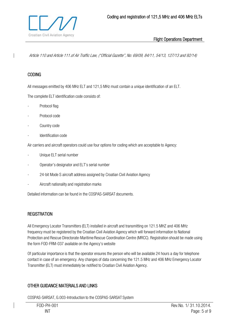

Article 110 and Article 111.of Air Traffic Law, ("Official Gazette", No: 69/09, 84/11, 54/13, 127/13 and 92/14)

#### CODING

All messages emitted by 406 MHz ELT and 121,5 MHz must contain a unique identification of an ELT.

The complete ELT identification code consists of:

- Protocol flag
- Protocol code
- Country code
- Identification code

Air carriers and aircraft operators could use four options for coding which are acceptable to Agency:

- Unique ELT serial number
- Operator's designator and ELT's serial number
- 24-bit Mode S aircraft address assigned by Croatian Civil Aviation Agency
- Aircraft nationality and registration marks

Detailed information can be found in the COSPAS-SARSAT documents.

#### **REGISTRATION**

All Emergency Locator Transmitters (ELT) installed in aircraft and transmitting on 121.5 MHZ and 406 MHz frequency must be registered by the Croatian Civil Aviation Agency which will forward information to National Protection and Rescue Directorate-Maritime Rescue Coordination Centre (MRCC). Registration should be made using the form FOD-FRM-037 available on the Agency's website

Of particular importance is that the operator ensures the person who will be available 24 hours a day for telephone contact in case of an emergency. Any changes of data concerning the 121.5 MHz and 406 MHz Emergency Locator Transmitter (ELT) must immediately be notified to Croatian Civil Aviation Agency.

#### OTHER GUIDANCE MATERIALS AND LINKS

COSPAS-SARSAT, G.003-Introduction to the COSPAS-SARSAT System